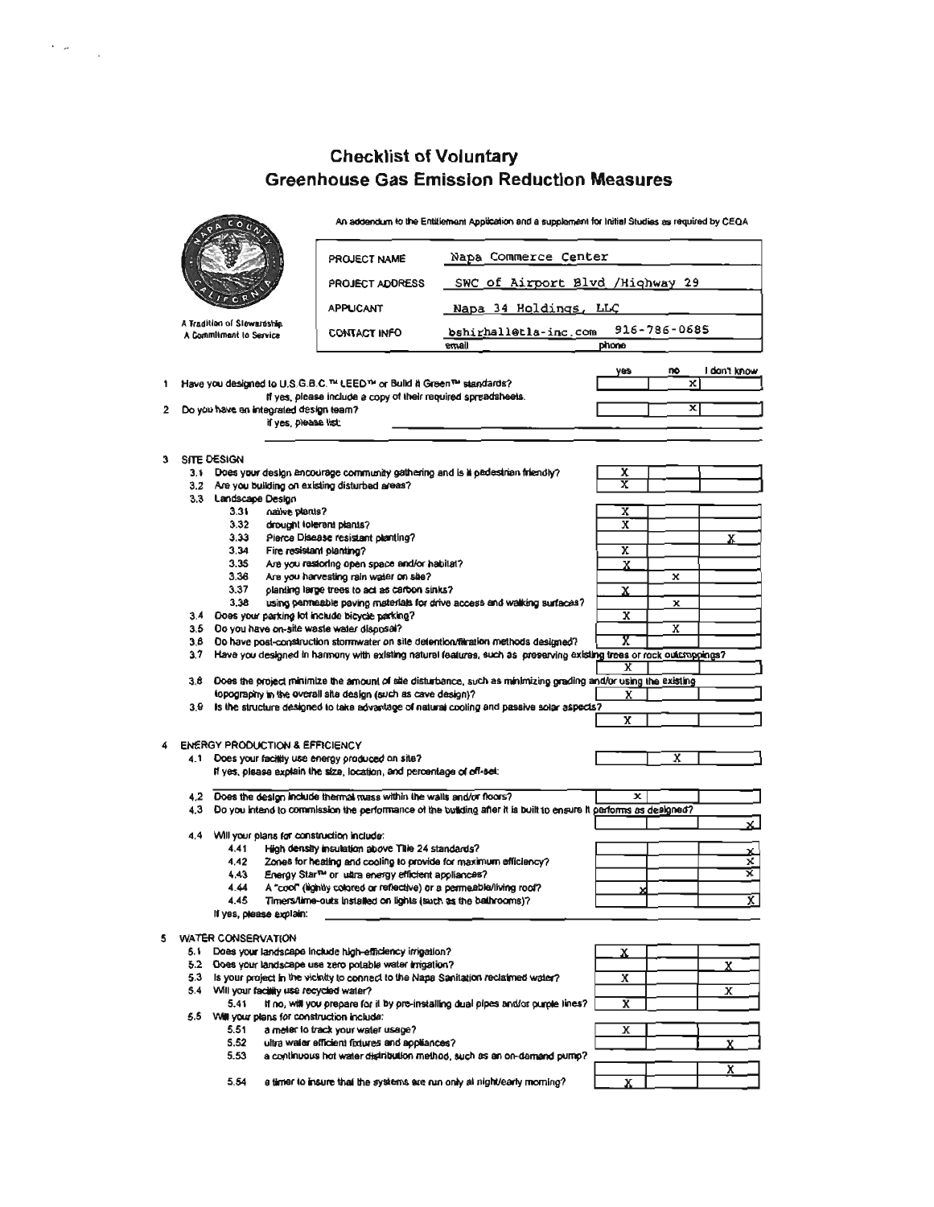## Checklist of Voluntary<br>Greenhouse Gas Emission Reduction Measures

 $\label{eq:2} \frac{1}{2} \sum_{i=1}^n \frac{1}{2} \sum_{j=1}^n \frac{1}{2} \sum_{j=1}^n \frac{1}{2} \sum_{j=1}^n \frac{1}{2} \sum_{j=1}^n \frac{1}{2} \sum_{j=1}^n \frac{1}{2} \sum_{j=1}^n \frac{1}{2} \sum_{j=1}^n \frac{1}{2} \sum_{j=1}^n \frac{1}{2} \sum_{j=1}^n \frac{1}{2} \sum_{j=1}^n \frac{1}{2} \sum_{j=1}^n \frac{1}{2} \sum_{j=1}^n \frac{1}{$ 

|   | $\sim$     |                                                                                                                                                                                | An addendum to the Entillement Application and a supplement for Initial Studies as required by CEQA                                                                                                        |                                                                                                                      |                              |             |              |  |
|---|------------|--------------------------------------------------------------------------------------------------------------------------------------------------------------------------------|------------------------------------------------------------------------------------------------------------------------------------------------------------------------------------------------------------|----------------------------------------------------------------------------------------------------------------------|------------------------------|-------------|--------------|--|
|   |            |                                                                                                                                                                                | PROJECT NAME                                                                                                                                                                                               | Napa Commerce Center                                                                                                 |                              |             |              |  |
|   |            |                                                                                                                                                                                | <b>PROJECT ADDRESS</b>                                                                                                                                                                                     | SWC of Airport Blvd /Highway 29                                                                                      |                              |             |              |  |
|   |            |                                                                                                                                                                                | Napa 34 Holdings, LLC<br><b>APPUCANT</b>                                                                                                                                                                   |                                                                                                                      |                              |             |              |  |
|   |            | A Tradition of Slowardship<br>A Commitment to Service                                                                                                                          | CONTACT INFO                                                                                                                                                                                               | 916-786-0685<br>bshirhall@tla-inc.com                                                                                |                              |             |              |  |
|   |            |                                                                                                                                                                                |                                                                                                                                                                                                            | llame                                                                                                                | phone                        |             |              |  |
|   |            |                                                                                                                                                                                |                                                                                                                                                                                                            |                                                                                                                      |                              | no<br>x     | I dan't know |  |
|   |            | 1 Have you designed to U.S.G.B.C. <sup>TH</sup> LEED <sup>TH</sup> or Build it Green <sup>TM</sup> standards?<br>If yes, please include a copy of their required spreadsheets. |                                                                                                                                                                                                            |                                                                                                                      |                              |             |              |  |
|   |            | 2 Do you have an integrated design team?<br>if yes, please list:                                                                                                               |                                                                                                                                                                                                            |                                                                                                                      |                              | x           |              |  |
|   |            |                                                                                                                                                                                |                                                                                                                                                                                                            |                                                                                                                      |                              |             |              |  |
|   |            | 3 SITE DESIGN                                                                                                                                                                  |                                                                                                                                                                                                            |                                                                                                                      |                              |             |              |  |
|   |            |                                                                                                                                                                                | 3.1 Does your design encourage community gathering and is it padestrian friendly?                                                                                                                          |                                                                                                                      | X<br>$\overline{\mathbf{x}}$ |             |              |  |
|   |            | 3.2 Are you building on existing disturbed areas?<br>3.3 Landscape Design                                                                                                      |                                                                                                                                                                                                            |                                                                                                                      |                              |             |              |  |
|   |            | 3.31<br>native plants?                                                                                                                                                         |                                                                                                                                                                                                            |                                                                                                                      | x                            |             |              |  |
|   |            | 3.32<br>3.33                                                                                                                                                                   | drought tolerant plants?<br>Pierce Disease resistant planting?                                                                                                                                             |                                                                                                                      | x                            |             | x            |  |
|   |            | 3.34                                                                                                                                                                           | Fire resistant planting?                                                                                                                                                                                   |                                                                                                                      | $\overline{\mathbf{x}}$      |             |              |  |
|   |            | 3.35                                                                                                                                                                           | Are you restoring open space and/or habitat?                                                                                                                                                               |                                                                                                                      | X                            |             |              |  |
|   |            | 3.36<br>3.37                                                                                                                                                                   | Are you harvesting rain water on site?<br>planting large trees to act as carbon sinks?                                                                                                                     |                                                                                                                      | x                            | x           |              |  |
|   |            | 3.38                                                                                                                                                                           |                                                                                                                                                                                                            | using permeable paving materials for drive access and walking surfaces?                                              |                              | $\mathbf x$ |              |  |
|   | 3.4        | Does your parking lot include bicycle parking?                                                                                                                                 |                                                                                                                                                                                                            |                                                                                                                      | X                            |             |              |  |
|   | 3.5<br>3.8 | Do you have on-site waste water disposal?                                                                                                                                      |                                                                                                                                                                                                            |                                                                                                                      | χ                            | x           |              |  |
|   | 3.7        |                                                                                                                                                                                | Do have post-construction stormwater on site detention/filmation methods designed?<br>Have you designed in harmony with existing natural features, such as preserving existing trees or rock outcroppings? |                                                                                                                      |                              |             |              |  |
|   |            |                                                                                                                                                                                |                                                                                                                                                                                                            |                                                                                                                      | x                            |             |              |  |
|   |            |                                                                                                                                                                                |                                                                                                                                                                                                            | 3.8 Does the project minimize the amount of site disturbance, such as minimizing grading and/or using the existing   |                              |             |              |  |
|   |            |                                                                                                                                                                                | topography in the overall site design (such as cave design)?                                                                                                                                               | 3.9 Is the structure designed to take advantage of natural cooling and passive solar aspects?                        | x                            |             |              |  |
|   |            |                                                                                                                                                                                |                                                                                                                                                                                                            |                                                                                                                      | x                            |             |              |  |
| 4 |            | ENERGY PRODUCTION & EFFICIENCY                                                                                                                                                 |                                                                                                                                                                                                            |                                                                                                                      |                              |             |              |  |
|   |            |                                                                                                                                                                                | 4.1 Does your facility use energy produced on site?                                                                                                                                                        |                                                                                                                      |                              | x           |              |  |
|   |            |                                                                                                                                                                                | If yes, please explain the size, location, and percentage of off-set:                                                                                                                                      |                                                                                                                      |                              |             |              |  |
|   | 4.2        |                                                                                                                                                                                | Does the design include thermal mass within the walls and/or floors?                                                                                                                                       |                                                                                                                      | $\mathbf{x}$                 |             |              |  |
|   |            |                                                                                                                                                                                |                                                                                                                                                                                                            | 4.3 Do you kitend to commission the performance of the building after it is built to ensure it performs as designed? |                              |             |              |  |
|   |            | 4.4 Will your plans for construction include:                                                                                                                                  |                                                                                                                                                                                                            |                                                                                                                      |                              |             |              |  |
|   |            | 4.41                                                                                                                                                                           | High density insulation above Thie 24 standards?                                                                                                                                                           |                                                                                                                      |                              |             | x            |  |
|   |            | 4.42                                                                                                                                                                           | Zones for heating and cooling to provide for maximum efficiency?                                                                                                                                           |                                                                                                                      |                              |             | x            |  |
|   |            | 4.43                                                                                                                                                                           | Energy Star™ or ultra energy efficient appliances?                                                                                                                                                         |                                                                                                                      |                              |             | ⊻            |  |
|   |            | 4.44<br>4.45                                                                                                                                                                   | A "cool" (lightly colored or reflective) or a permeable/living roof?<br>Timers/time-outs installed on lights (such as the bathrooms)?                                                                      |                                                                                                                      |                              |             |              |  |
|   |            | If yes, please explain:                                                                                                                                                        |                                                                                                                                                                                                            |                                                                                                                      |                              |             |              |  |
|   |            | 5 WATER CONSERVATION                                                                                                                                                           |                                                                                                                                                                                                            |                                                                                                                      |                              |             |              |  |
|   |            |                                                                                                                                                                                | 5.1 Does your landscape include high-efficiency irrigation?                                                                                                                                                |                                                                                                                      | x                            |             |              |  |
|   |            |                                                                                                                                                                                | 5.2 Does your landscape use zero potable water imagtion?                                                                                                                                                   |                                                                                                                      |                              |             | x            |  |
|   |            | 5.4 Will your facility use recycled water?                                                                                                                                     |                                                                                                                                                                                                            | 5.3 Is your project in the vicinity to connect to the Napa Sanitation reclaimed water?                               | x                            |             |              |  |
|   |            |                                                                                                                                                                                |                                                                                                                                                                                                            | 5.41 If no, will you prepare for it by pre-installing dual pipes and/or purple lines?                                | x                            |             | x            |  |
|   |            | 5.5 Will your plans for construction include:                                                                                                                                  |                                                                                                                                                                                                            |                                                                                                                      |                              |             |              |  |
|   |            |                                                                                                                                                                                | 5.51 a meter to track your water usage?                                                                                                                                                                    |                                                                                                                      | x                            |             |              |  |
|   |            | 5.52<br>5.53                                                                                                                                                                   | ultra water efficient fedures and appliances?                                                                                                                                                              | a continuous hot water distribution method, such as an on-damand pump?                                               |                              |             |              |  |
|   |            |                                                                                                                                                                                |                                                                                                                                                                                                            |                                                                                                                      |                              |             |              |  |
|   |            | 5.54                                                                                                                                                                           |                                                                                                                                                                                                            | a timer to insure that the systems are run only at night/early morning?                                              |                              |             |              |  |